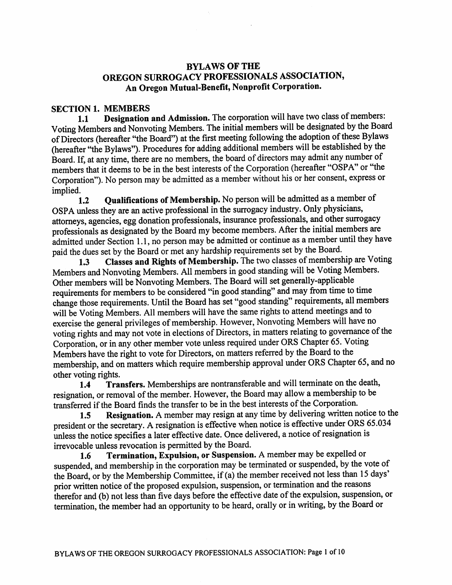# BYLAWS OF THE OREGON SURROGACY PROFESSIONALS ASSOCIATION, An Oregon Mutual-Benefit, Nonprofit Corporation.

## SECTION 1. MEMBERS

1.1 Designation and Admission. The corporation will have two class of members: Voting Members and Nonvoting Members. The initial members will be designated by the Board of Directors (hereafter "the Board") at the first meeting following the adoption of these Bylaws (hereafter "the Bylaws"). Procedures for adding additional members will be established by the Board. If, at any time, there are no members, the board of directors may admit any number of members that it deems to be in the best interests of the Corporation (hereafter "OSPA" or "the Corporation"). No person may be admitted as a member without his or her consent, express or implied.

1.2 Qualifications of Membership. No person will be admitted as a member of OSPA unless they are an active professional in the surrogacy industry. Only physicians, attorneys, agencies, egg donation professionals, insurance professionals, and other surrogacy professionals as designated by the Board my become members. After the initial members are admitted under Section 1.1, no person may be admitted or continue as a member until they have paid the dues set by the Board or met any hardship requirements set by the Board.

1.3 Classes and Rights of Membership. The two classes of membership are Voting Members and Nonvoting Members. All members in good standing will be Voting Members. Other members will be Nonvoting Members. The Board will set generally-applicable requirements for members to be considered "in good standing" and may from time to time change those requirements. Until the Board has set "good standing" requirements, all members will be Voting Members. All members will have the same rights to attend meetings and to exercise the general privileges of membership. However, Nonvoting Members will have no voting rights and may not vote in elections of Directors, in matters relating to governance of the Corporation, or in any other member vote unless required under ORS Chapter 65. Voting Members have the right to vote for Directors, on matters referred by the Board to the membership, and on matters which require membership approval under ORS Chapter 65, and no other voting rights.

1.4 Transfers. Memberships are nontransferable and will terminate on the death, resignation, or removal of the member. However, the Board may allow a membership to be transferred if the Board finds the transfer to be in the best interests of the Corporation.

1.5 Resignation. A member may resign at any time by delivering written notice to the president or the secretary. A resignation is effective when notice is effective under ORS 65.034 unless the notice specifies a later effective date. Once delivered, a notice of resignation is irrevocable unless revocation is permitted by the Board.

1.6 Termination, Expulsion, or Suspension. A member may be expelled or suspended, and membership in the corporation may be terminated or suspended, by the vote of the Board, or by the Membership Committee, if (a) the member received not less than 15 days' prior written notice of the proposed expulsion, suspension, or termination and the reasons therefor and (b) not less than five days before the effective date of the expulsion, suspension, or termination, the member had an opportunity to be heard, orally or in writing, by the Board or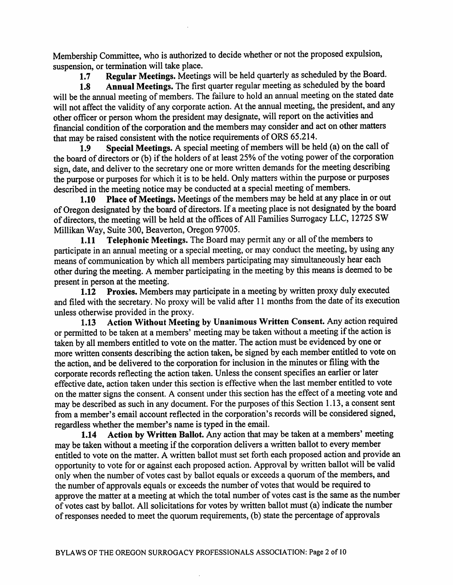Membership Committee, who is authorized to decide whether or not the proposed expulsion, suspension, or termination will take place.

Regular Meetings. Meetings will be held quarterly as scheduled by the Board.  $1.7$ 

Annual Meetings. The first quarter regular meeting as scheduled by the board 1.8 will be the annual meeting of members. The failure to hold an annual meeting on the stated date will not affect the validity of any corporate action. At the annual meeting, the president, and any other officer or person whom the president may designate, will report on the activities and financial condition of the corporation and the members may consider and act on other matters that may be raised consistent with the notice requirements of ORS 65.214.

Special Meetings. A special meeting of members will be held (a) on the call of 1.9 the board of directors or (b) if the holders of at least 25% of the voting power of the corporation sign, date, and deliver to the secretary one or more written demands for the meeting describing the purpose or purposes for which it is to be held. Only matters within the purpose or purposes described in the meeting notice may be conducted at a special meeting of members.

Place of Meetings. Meetings of the members may be held at any place in or out  $1.10$ of Oregon designated by the board of directors. If a meeting place is not designated by the board of directors, the meeting will be held at the offices of All Families Surrogacy LLC, 12725 SW Millikan Way, Suite 300, Beaverton, Oregon 97005.

Telephonic Meetings. The Board may permit any or all of the members to  $1.11$ participate in an annual meeting or a special meeting, or may conduct the meeting, by using any means of communication by which all members participating may simultaneously hear each other during the meeting. A member participating in the meeting by this means is deemed to be present in person at the meeting.

1.12 Proxies. Members may participate in a meeting by written proxy duly executed and filed with the secretary. No proxy will be valid after 11 months from the date of its execution unless otherwise provided in the proxy.

Action Without Meeting by Unanimous Written Consent. Any action required  $1.13$ or permitted to be taken at a members' meeting may be taken without a meeting if the action is taken by all members entitled to vote on the matter. The action must be evidenced by one or more written consents describing the action taken, be signed by each member entitled to vote on the action, and be delivered to the corporation for inclusion in the minutes or filing with the corporate records reflecting the action taken. Unless the consent specifies an earlier or later effective date, action taken under this section is effective when the last member entitled to vote on the matter signs the consent. A consent under this section has the effect of a meeting vote and may be described as such in any document. For the purposes of this Section 1.13, a consent sent from a member's email account reflected in the corporation's records will be considered signed, regardless whether the member's name is typed in the email.

Action by Written Ballot. Any action that may be taken at a members' meeting  $1.14$ may be taken without a meeting if the corporation delivers a written ballot to every member entitled to vote on the matter. A written ballot must set forth each proposed action and provide an opportunity to vote for or against each proposed action. Approval by written ballot will be valid only when the number of votes cast by ballot equals or exceeds a quorum of the members, and the number of approvals equals or exceeds the number of votes that would be required to approve the matter at a meeting at which the total number of votes cast is the same as the number of votes cast by ballot. All solicitations for votes by written ballot must (a) indicate the number of responses needed to meet the quorum requirements, (b) state the percentage of approvals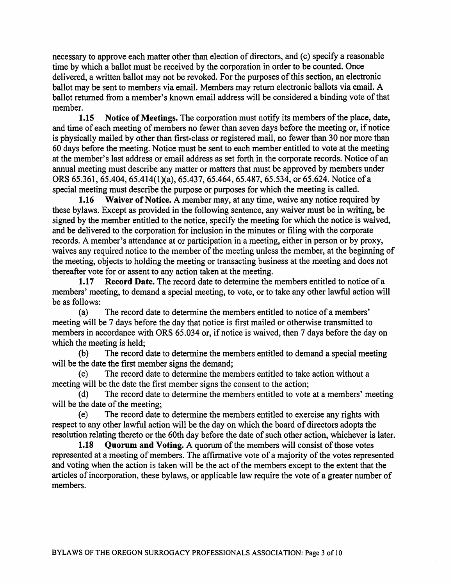necessary to approve each matter other than election of directors, and (c) specify a reasonable time by which a ballot must be received by the corporation in order to be counted. Once delivered, a written ballot may not be revoked. For the purposes of this section, an electronic ballot may be sent to members via email. Members may return electronic ballots via email. A ballot returned from a member's known email address will be considered a binding vote of that member.

Notice of Meetings. The corporation must notify its members of the place, date,  $1.15$ and time of each meeting of members no fewer than seven days before the meeting or, if notice is physically mailed by other than first-class or registered mail, no fewer than 30 nor more than 60 days before the meeting. Notice must be sent to each member entitled to vote at the meeting at the member's last address or email address as set forth in the corporate records. Notice of an annual meeting must describe any matter or matters that must be approved by members under ORS 65.361, 65.404, 65.414(1)(a), 65.437, 65.464, 65.487, 65.534, or 65.624. Notice of a special meeting must describe the purpose or purposes for which the meeting is called.

Waiver of Notice. A member may, at any time, waive any notice required by  $1.16$ these bylaws. Except as provided in the following sentence, any waiver must be in writing, be signed by the member entitled to the notice, specify the meeting for which the notice is waived, and be delivered to the corporation for inclusion in the minutes or filing with the corporate records. A member's attendance at or participation in a meeting, either in person or by proxy, waives any required notice to the member of the meeting unless the member, at the beginning of the meeting, objects to holding the meeting or transacting business at the meeting and does not thereafter vote for or assent to any action taken at the meeting.

Record Date. The record date to determine the members entitled to notice of a  $1.17$ members' meeting, to demand a special meeting, to vote, or to take any other lawful action will be as follows:

The record date to determine the members entitled to notice of a members'  $(a)$ meeting will be 7 days before the day that notice is first mailed or otherwise transmitted to members in accordance with ORS 65.034 or, if notice is waived, then 7 days before the day on which the meeting is held;

The record date to determine the members entitled to demand a special meeting  $(b)$ will be the date the first member signs the demand;

The record date to determine the members entitled to take action without a  $(c)$ meeting will be the date the first member signs the consent to the action;

The record date to determine the members entitled to vote at a members' meeting  $(d)$ will be the date of the meeting:

The record date to determine the members entitled to exercise any rights with  $(e)$ respect to any other lawful action will be the day on which the board of directors adopts the resolution relating thereto or the 60th day before the date of such other action, whichever is later.

Quorum and Voting. A quorum of the members will consist of those votes 1.18 represented at a meeting of members. The affirmative vote of a majority of the votes represented and voting when the action is taken will be the act of the members except to the extent that the articles of incorporation, these bylaws, or applicable law require the vote of a greater number of members.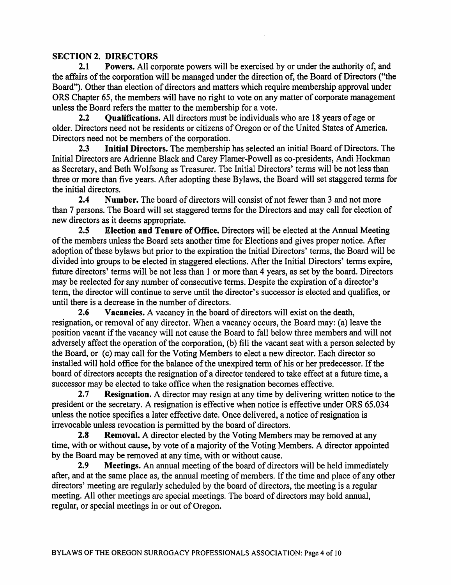# **SECTION 2. DIRECTORS**

**Powers.** All corporate powers will be exercised by or under the authority of, and  $2.1$ the affairs of the corporation will be managed under the direction of, the Board of Directors ("the Board"). Other than election of directors and matters which require membership approval under ORS Chapter 65, the members will have no right to vote on any matter of corporate management unless the Board refers the matter to the membership for a vote.

**Qualifications.** All directors must be individuals who are 18 years of age or  $2.2$ older. Directors need not be residents or citizens of Oregon or of the United States of America. Directors need not be members of the corporation.

Initial Directors. The membership has selected an initial Board of Directors. The  $2.3$ Initial Directors are Adrienne Black and Carey Flamer-Powell as co-presidents, Andi Hockman as Secretary, and Beth Wolfsong as Treasurer. The Initial Directors' terms will be not less than three or more than five years. After adopting these Bylaws, the Board will set staggered terms for the initial directors.

Number. The board of directors will consist of not fewer than 3 and not more  $2.4$ than 7 persons. The Board will set staggered terms for the Directors and may call for election of new directors as it deems appropriate.

**Election and Tenure of Office.** Directors will be elected at the Annual Meeting  $2.5$ of the members unless the Board sets another time for Elections and gives proper notice. After adoption of these bylaws but prior to the expiration the Initial Directors' terms, the Board will be divided into groups to be elected in staggered elections. After the Initial Directors' terms expire, future directors' terms will be not less than 1 or more than 4 years, as set by the board. Directors may be reelected for any number of consecutive terms. Despite the expiration of a director's term, the director will continue to serve until the director's successor is elected and qualifies, or until there is a decrease in the number of directors.

 $2.6$ Vacancies. A vacancy in the board of directors will exist on the death, resignation, or removal of any director. When a vacancy occurs, the Board may: (a) leave the position vacant if the vacancy will not cause the Board to fall below three members and will not adversely affect the operation of the corporation, (b) fill the vacant seat with a person selected by the Board, or (c) may call for the Voting Members to elect a new director. Each director so installed will hold office for the balance of the unexpired term of his or her predecessor. If the board of directors accepts the resignation of a director tendered to take effect at a future time, a successor may be elected to take office when the resignation becomes effective.

 $2.7$ **Resignation.** A director may resign at any time by delivering written notice to the president or the secretary. A resignation is effective when notice is effective under ORS 65.034 unless the notice specifies a later effective date. Once delivered, a notice of resignation is irrevocable unless revocation is permitted by the board of directors.

**Removal.** A director elected by the Voting Members may be removed at any  $2.8$ time, with or without cause, by vote of a majority of the Voting Members. A director appointed by the Board may be removed at any time, with or without cause.

Meetings. An annual meeting of the board of directors will be held immediately  $2.9$ after, and at the same place as, the annual meeting of members. If the time and place of any other directors' meeting are regularly scheduled by the board of directors, the meeting is a regular meeting. All other meetings are special meetings. The board of directors may hold annual, regular, or special meetings in or out of Oregon.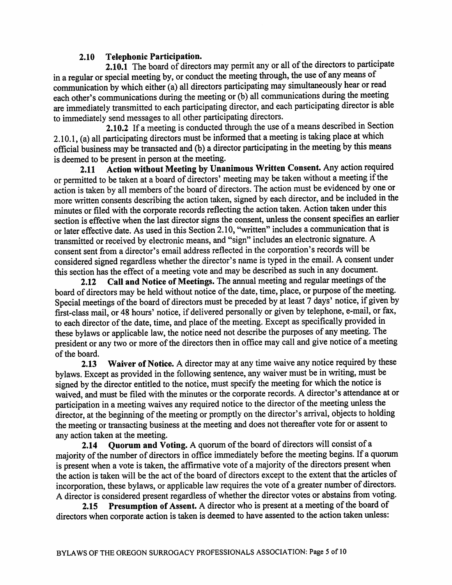#### **Telephonic Participation.**  $2.10$

2.10.1 The board of directors may permit any or all of the directors to participate in a regular or special meeting by, or conduct the meeting through, the use of any means of communication by which either (a) all directors participating may simultaneously hear or read each other's communications during the meeting or (b) all communications during the meeting are immediately transmitted to each participating director, and each participating director is able to immediately send messages to all other participating directors.

2.10.2 If a meeting is conducted through the use of a means described in Section 2.10.1, (a) all participating directors must be informed that a meeting is taking place at which official business may be transacted and (b) a director participating in the meeting by this means is deemed to be present in person at the meeting.

Action without Meeting by Unanimous Written Consent. Any action required 2.11 or permitted to be taken at a board of directors' meeting may be taken without a meeting if the action is taken by all members of the board of directors. The action must be evidenced by one or more written consents describing the action taken, signed by each director, and be included in the minutes or filed with the corporate records reflecting the action taken. Action taken under this section is effective when the last director signs the consent, unless the consent specifies an earlier or later effective date. As used in this Section 2.10, "written" includes a communication that is transmitted or received by electronic means, and "sign" includes an electronic signature. A consent sent from a director's email address reflected in the corporation's records will be considered signed regardless whether the director's name is typed in the email. A consent under this section has the effect of a meeting vote and may be described as such in any document.

Call and Notice of Meetings. The annual meeting and regular meetings of the  $2.12$ board of directors may be held without notice of the date, time, place, or purpose of the meeting. Special meetings of the board of directors must be preceded by at least 7 days' notice, if given by first-class mail, or 48 hours' notice, if delivered personally or given by telephone, e-mail, or fax, to each director of the date, time, and place of the meeting. Except as specifically provided in these bylaws or applicable law, the notice need not describe the purposes of any meeting. The president or any two or more of the directors then in office may call and give notice of a meeting of the board.

Waiver of Notice. A director may at any time waive any notice required by these  $2.13$ bylaws. Except as provided in the following sentence, any waiver must be in writing, must be signed by the director entitled to the notice, must specify the meeting for which the notice is waived, and must be filed with the minutes or the corporate records. A director's attendance at or participation in a meeting waives any required notice to the director of the meeting unless the director, at the beginning of the meeting or promptly on the director's arrival, objects to holding the meeting or transacting business at the meeting and does not thereafter vote for or assent to any action taken at the meeting.

Quorum and Voting. A quorum of the board of directors will consist of a  $2.14$ majority of the number of directors in office immediately before the meeting begins. If a quorum is present when a vote is taken, the affirmative vote of a majority of the directors present when the action is taken will be the act of the board of directors except to the extent that the articles of incorporation, these bylaws, or applicable law requires the vote of a greater number of directors. A director is considered present regardless of whether the director votes or abstains from voting.

Presumption of Assent. A director who is present at a meeting of the board of  $2.15$ directors when corporate action is taken is deemed to have assented to the action taken unless: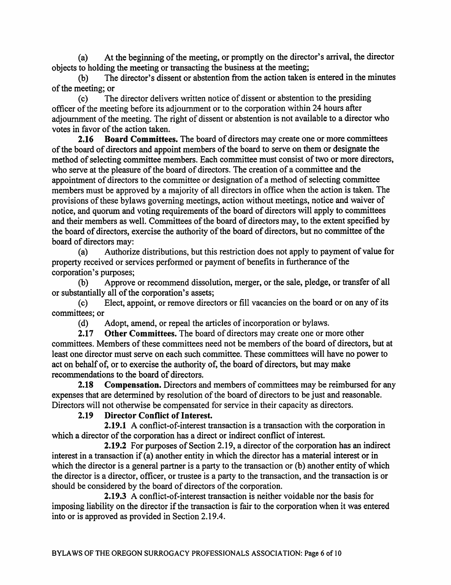At the beginning of the meeting, or promptly on the director's arrival, the director  $(a)$ objects to holding the meeting or transacting the business at the meeting;

 $(b)$ The director's dissent or abstention from the action taken is entered in the minutes of the meeting; or

The director delivers written notice of dissent or abstention to the presiding  $(c)$ officer of the meeting before its adjournment or to the corporation within 24 hours after adiournment of the meeting. The right of dissent or abstention is not available to a director who votes in favor of the action taken.

 $2.16$ **Board Committees.** The board of directors may create one or more committees of the board of directors and appoint members of the board to serve on them or designate the method of selecting committee members. Each committee must consist of two or more directors, who serve at the pleasure of the board of directors. The creation of a committee and the appointment of directors to the committee or designation of a method of selecting committee members must be approved by a majority of all directors in office when the action is taken. The provisions of these bylaws governing meetings, action without meetings, notice and waiver of notice, and quorum and voting requirements of the board of directors will apply to committees and their members as well. Committees of the board of directors may, to the extent specified by the board of directors, exercise the authority of the board of directors, but no committee of the board of directors may:

 $(a)$ Authorize distributions, but this restriction does not apply to payment of value for property received or services performed or payment of benefits in furtherance of the corporation's purposes;

Approve or recommend dissolution, merger, or the sale, pledge, or transfer of all  $(b)$ or substantially all of the corporation's assets;

Elect, appoint, or remove directors or fill vacancies on the board or on any of its  $(c)$ committees: or

Adopt, amend, or repeal the articles of incorporation or bylaws.  $(d)$ 

 $2.17$ Other Committees. The board of directors may create one or more other committees. Members of these committees need not be members of the board of directors, but at least one director must serve on each such committee. These committees will have no power to act on behalf of, or to exercise the authority of, the board of directors, but may make recommendations to the board of directors.

 $2.18$ **Compensation.** Directors and members of committees may be reimbursed for any expenses that are determined by resolution of the board of directors to be just and reasonable. Directors will not otherwise be compensated for service in their capacity as directors.

### **Director Conflict of Interest.**  $2.19$

2.19.1 A conflict-of-interest transaction is a transaction with the corporation in which a director of the corporation has a direct or indirect conflict of interest.

2.19.2 For purposes of Section 2.19, a director of the corporation has an indirect interest in a transaction if (a) another entity in which the director has a material interest or in which the director is a general partner is a party to the transaction or (b) another entity of which the director is a director, officer, or trustee is a party to the transaction, and the transaction is or should be considered by the board of directors of the corporation.

2.19.3 A conflict-of-interest transaction is neither voidable nor the basis for imposing liability on the director if the transaction is fair to the corporation when it was entered into or is approved as provided in Section 2.19.4.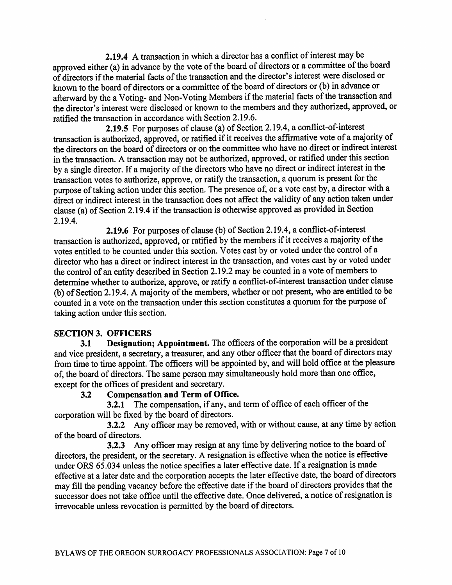2.19.4 A transaction in which a director has a conflict of interest may be approved either (a) in advance by the vote of the board of directors or a committee of the board of directors if the material facts of the transaction and the director's interest were disclosed or known to the board of directors or a committee of the board of directors or (b) in advance or afterward by the a Voting- and Non-Voting Members if the material facts of the transaction and the director's interest were disclosed or known to the members and they authorized, approved, or ratified the transaction in accordance with Section 2.19.6.

2.19.5 For purposes of clause (a) of Section 2.19.4, a conflict-of-interest transaction is authorized, approved, or ratified if it receives the affirmative vote of a majority of the directors on the board of directors or on the committee who have no direct or indirect interest in the transaction. A transaction may not be authorized, approved, or ratified under this section by a single director. If a majority of the directors who have no direct or indirect interest in the transaction votes to authorize, approve, or ratify the transaction, a quorum is present for the purpose of taking action under this section. The presence of, or a vote cast by, a director with a direct or indirect interest in the transaction does not affect the validity of any action taken under clause (a) of Section 2.19.4 if the transaction is otherwise approved as provided in Section 2.19.4.

2.19.6 For purposes of clause (b) of Section 2.19.4, a conflict-of-interest transaction is authorized, approved, or ratified by the members if it receives a majority of the votes entitled to be counted under this section. Votes cast by or voted under the control of a director who has a direct or indirect interest in the transaction, and votes cast by or voted under the control of an entity described in Section 2.19.2 may be counted in a vote of members to determine whether to authorize, approve, or ratify a conflict-of-interest transaction under clause (b) of Section 2.19.4. A majority of the members, whether or not present, who are entitled to be counted in a vote on the transaction under this section constitutes a quorum for the purpose of taking action under this section.

### **SECTION 3. OFFICERS**

Designation; Appointment. The officers of the corporation will be a president  $3.1$ and vice president, a secretary, a treasurer, and any other officer that the board of directors may from time to time appoint. The officers will be appointed by, and will hold office at the pleasure of, the board of directors. The same person may simultaneously hold more than one office, except for the offices of president and secretary.

#### **Compensation and Term of Office.**  $3.2$

3.2.1 The compensation, if any, and term of office of each officer of the corporation will be fixed by the board of directors.

3.2.2 Any officer may be removed, with or without cause, at any time by action of the board of directors.

3.2.3 Any officer may resign at any time by delivering notice to the board of directors, the president, or the secretary. A resignation is effective when the notice is effective under ORS 65.034 unless the notice specifies a later effective date. If a resignation is made effective at a later date and the corporation accepts the later effective date, the board of directors may fill the pending vacancy before the effective date if the board of directors provides that the successor does not take office until the effective date. Once delivered, a notice of resignation is irrevocable unless revocation is permitted by the board of directors.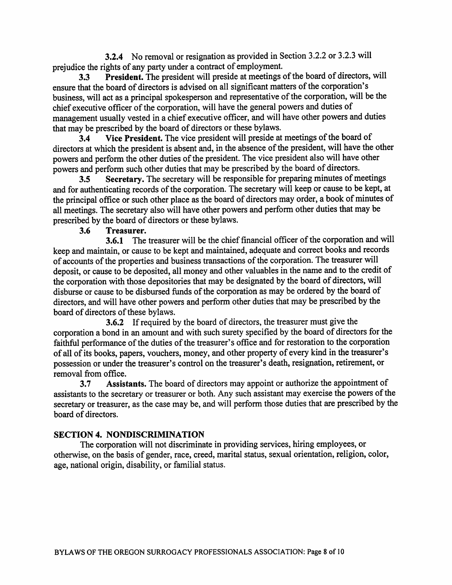3.2.4 No removal or resignation as provided in Section 3.2.2 or 3.2.3 will prejudice the rights of any party under a contract of employment.

President. The president will preside at meetings of the board of directors, will  $3.3$ ensure that the board of directors is advised on all significant matters of the corporation's business, will act as a principal spokesperson and representative of the corporation, will be the chief executive officer of the corporation, will have the general powers and duties of management usually vested in a chief executive officer, and will have other powers and duties that may be prescribed by the board of directors or these bylaws.

Vice President. The vice president will preside at meetings of the board of  $3.4$ directors at which the president is absent and, in the absence of the president, will have the other powers and perform the other duties of the president. The vice president also will have other powers and perform such other duties that may be prescribed by the board of directors.

Secretary. The secretary will be responsible for preparing minutes of meetings  $3.5$ and for authenticating records of the corporation. The secretary will keep or cause to be kept, at the principal office or such other place as the board of directors may order, a book of minutes of all meetings. The secretary also will have other powers and perform other duties that may be prescribed by the board of directors or these bylaws.

### Treasurer.  $3.6$

3.6.1 The treasurer will be the chief financial officer of the corporation and will keep and maintain, or cause to be kept and maintained, adequate and correct books and records of accounts of the properties and business transactions of the corporation. The treasurer will deposit, or cause to be deposited, all money and other valuables in the name and to the credit of the corporation with those depositories that may be designated by the board of directors, will disburse or cause to be disbursed funds of the corporation as may be ordered by the board of directors, and will have other powers and perform other duties that may be prescribed by the board of directors of these bylaws.

**3.6.2** If required by the board of directors, the treasurer must give the corporation a bond in an amount and with such surety specified by the board of directors for the faithful performance of the duties of the treasurer's office and for restoration to the corporation of all of its books, papers, vouchers, money, and other property of every kind in the treasurer's possession or under the treasurer's control on the treasurer's death, resignation, retirement, or removal from office.

 $3.7$ Assistants. The board of directors may appoint or authorize the appointment of assistants to the secretary or treasurer or both. Any such assistant may exercise the powers of the secretary or treasurer, as the case may be, and will perform those duties that are prescribed by the board of directors.

# **SECTION 4. NONDISCRIMINATION**

The corporation will not discriminate in providing services, hiring employees, or otherwise, on the basis of gender, race, creed, marital status, sexual orientation, religion, color, age, national origin, disability, or familial status.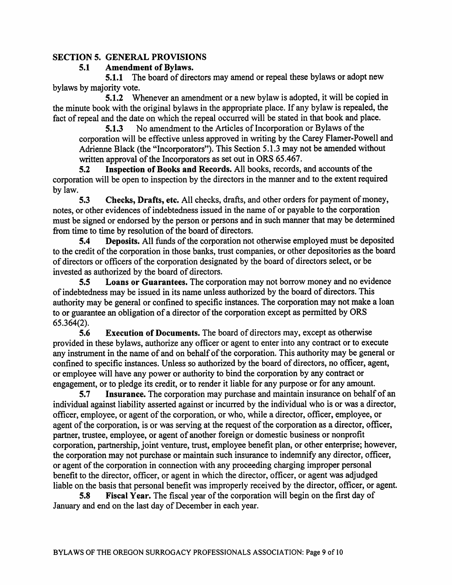# **SECTION 5. GENERAL PROVISIONS**

### **Amendment of Bylaws.**  $5.1$

5.1.1 The board of directors may amend or repeal these bylaws or adopt new bylaws by majority vote.

5.1.2 Whenever an amendment or a new bylaw is adopted, it will be copied in the minute book with the original bylaws in the appropriate place. If any bylaw is repealed, the fact of repeal and the date on which the repeal occurred will be stated in that book and place.

No amendment to the Articles of Incorporation or Bylaws of the  $5.1.3$ corporation will be effective unless approved in writing by the Carey Flamer-Powell and Adrienne Black (the "Incorporators"). This Section 5.1.3 may not be amended without written approval of the Incorporators as set out in ORS 65.467.

Inspection of Books and Records. All books, records, and accounts of the  $5.2$ corporation will be open to inspection by the directors in the manner and to the extent required by law.

 $5.3$ Checks, Drafts, etc. All checks, drafts, and other orders for payment of money, notes, or other evidences of indebtedness issued in the name of or payable to the corporation must be signed or endorsed by the person or persons and in such manner that may be determined from time to time by resolution of the board of directors.

**Deposits.** All funds of the corporation not otherwise employed must be deposited  $5.4$ to the credit of the corporation in those banks, trust companies, or other depositories as the board of directors or officers of the corporation designated by the board of directors select, or be invested as authorized by the board of directors.

 $5.5$ **Loans or Guarantees.** The corporation may not borrow money and no evidence of indebtedness may be issued in its name unless authorized by the board of directors. This authority may be general or confined to specific instances. The corporation may not make a loan to or guarantee an obligation of a director of the corporation except as permitted by ORS  $65.364(2)$ .

5.6 **Execution of Documents.** The board of directors may, except as otherwise provided in these bylaws, authorize any officer or agent to enter into any contract or to execute any instrument in the name of and on behalf of the corporation. This authority may be general or confined to specific instances. Unless so authorized by the board of directors, no officer, agent, or employee will have any power or authority to bind the corporation by any contract or engagement, or to pledge its credit, or to render it liable for any purpose or for any amount.

 $5.7$ Insurance. The corporation may purchase and maintain insurance on behalf of an individual against liability asserted against or incurred by the individual who is or was a director, officer, employee, or agent of the corporation, or who, while a director, officer, employee, or agent of the corporation, is or was serving at the request of the corporation as a director, officer, partner, trustee, employee, or agent of another foreign or domestic business or nonprofit corporation, partnership, joint venture, trust, employee benefit plan, or other enterprise; however, the corporation may not purchase or maintain such insurance to indemnify any director, officer, or agent of the corporation in connection with any proceeding charging improper personal benefit to the director, officer, or agent in which the director, officer, or agent was adjudged liable on the basis that personal benefit was improperly received by the director, officer, or agent.

Fiscal Year. The fiscal year of the corporation will begin on the first day of 5.8 January and end on the last day of December in each year.